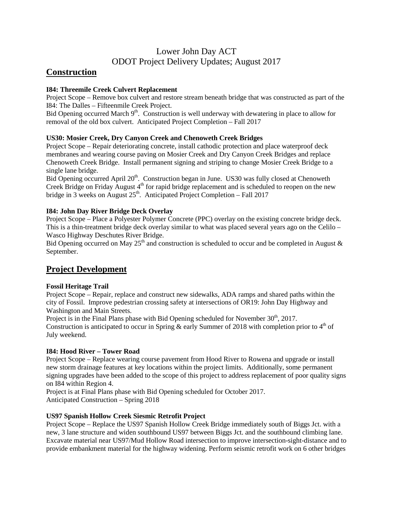# Lower John Day ACT ODOT Project Delivery Updates; August 2017

## **Construction**

## **I84: Threemile Creek Culvert Replacement**

Project Scope – Remove box culvert and restore stream beneath bridge that was constructed as part of the I84: The Dalles – Fifteenmile Creek Project.

Bid Opening occurred March 9<sup>th</sup>. Construction is well underway with dewatering in place to allow for removal of the old box culvert. Anticipated Project Completion – Fall 2017

## **US30: Mosier Creek, Dry Canyon Creek and Chenoweth Creek Bridges**

Project Scope – Repair deteriorating concrete, install cathodic protection and place waterproof deck membranes and wearing course paving on Mosier Creek and Dry Canyon Creek Bridges and replace Chenoweth Creek Bridge. Install permanent signing and striping to change Mosier Creek Bridge to a single lane bridge.

Bid Opening occurred April 20<sup>th</sup>. Construction began in June. US30 was fully closed at Chenoweth Creek Bridge on Friday August  $4<sup>th</sup>$  for rapid bridge replacement and is scheduled to reopen on the new bridge in 3 weeks on August  $25<sup>th</sup>$ . Anticipated Project Completion – Fall 2017

## **I84: John Day River Bridge Deck Overlay**

Project Scope – Place a Polyester Polymer Concrete (PPC) overlay on the existing concrete bridge deck. This is a thin-treatment bridge deck overlay similar to what was placed several years ago on the Celilo – Wasco Highway Deschutes River Bridge.

Bid Opening occurred on May 25<sup>th</sup> and construction is scheduled to occur and be completed in August  $\&$ September.

## **Project Development**

## **Fossil Heritage Trail**

Project Scope – Repair, replace and construct new sidewalks, ADA ramps and shared paths within the city of Fossil. Improve pedestrian crossing safety at intersections of OR19: John Day Highway and Washington and Main Streets.

Project is in the Final Plans phase with Bid Opening scheduled for November  $30<sup>th</sup>$ , 2017. Construction is anticipated to occur in Spring  $\&$  early Summer of 2018 with completion prior to 4<sup>th</sup> of July weekend.

## **I84: Hood River – Tower Road**

Project Scope – Replace wearing course pavement from Hood River to Rowena and upgrade or install new storm drainage features at key locations within the project limits. Additionally, some permanent signing upgrades have been added to the scope of this project to address replacement of poor quality signs on I84 within Region 4.

Project is at Final Plans phase with Bid Opening scheduled for October 2017. Anticipated Construction – Spring 2018

## **US97 Spanish Hollow Creek Siesmic Retrofit Project**

Project Scope – Replace the US97 Spanish Hollow Creek Bridge immediately south of Biggs Jct. with a new, 3 lane structure and widen southbound US97 between Biggs Jct. and the southbound climbing lane. Excavate material near US97/Mud Hollow Road intersection to improve intersection-sight-distance and to provide embankment material for the highway widening. Perform seismic retrofit work on 6 other bridges